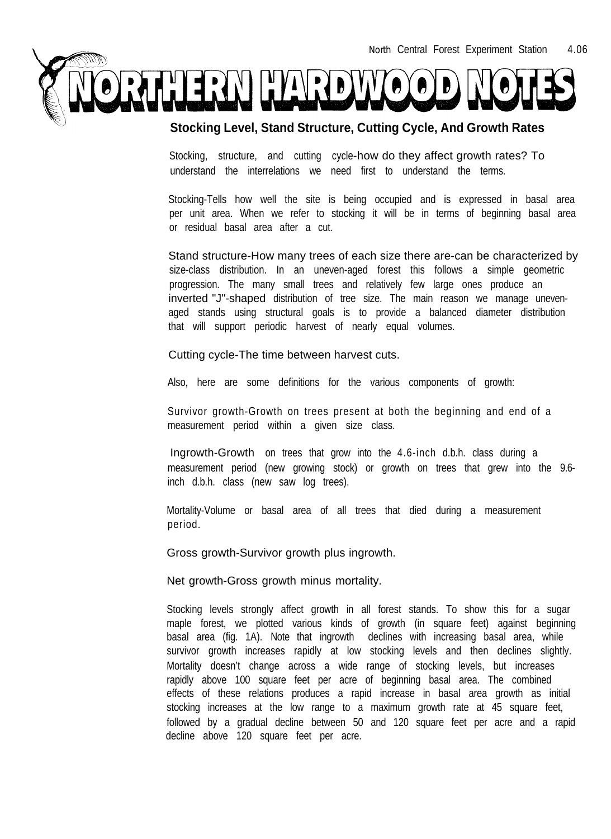

## **Stocking Level, Stand Structure, Cutting Cycle, And Growth Rates**

Stocking, structure, and cutting cycle-how do they affect growth rates? To understand the interrelations we need first to understand the terms.

Stocking-Tells how well the site is being occupied and is expressed in basal area per unit area. When we refer to stocking it will be in terms of beginning basal area or residual basal area after a cut.

Stand structure-How many trees of each size there are-can be characterized by size-class distribution. In an uneven-aged forest this follows a simple geometric progression. The many small trees and relatively few large ones produce an inverted "J"-shaped distribution of tree size. The main reason we manage unevenaged stands using structural goals is to provide a balanced diameter distribution that will support periodic harvest of nearly equal volumes.

Cutting cycle-The time between harvest cuts.

Also, here are some definitions for the various components of growth:

Survivor growth-Growth on trees present at both the beginning and end of a measurement period within a given size class.

Ingrowth-Growth on trees that grow into the 4.6-inch d.b.h. class during a measurement period (new growing stock) or growth on trees that grew into the 9.6 inch d.b.h. class (new saw log trees).

Mortality-Volume or basal area of all trees that died during a measurement period.

Gross growth-Survivor growth plus ingrowth.

Net growth-Gross growth minus mortality.

Stocking levels strongly affect growth in all forest stands. To show this for a sugar maple forest, we plotted various kinds of growth (in square feet) against beginning basal area (fig. 1A). Note that ingrowth declines with increasing basal area, while survivor growth increases rapidly at low stocking levels and then declines slightly. Mortality doesn't change across a wide range of stocking levels, but increases rapidly above 100 square feet per acre of beginning basal area. The combined effects of these relations produces a rapid increase in basal area growth as initial stocking increases at the low range to a maximum growth rate at 45 square feet, followed by a gradual decline between 50 and 120 square feet per acre and a rapid decline above 120 square feet per acre.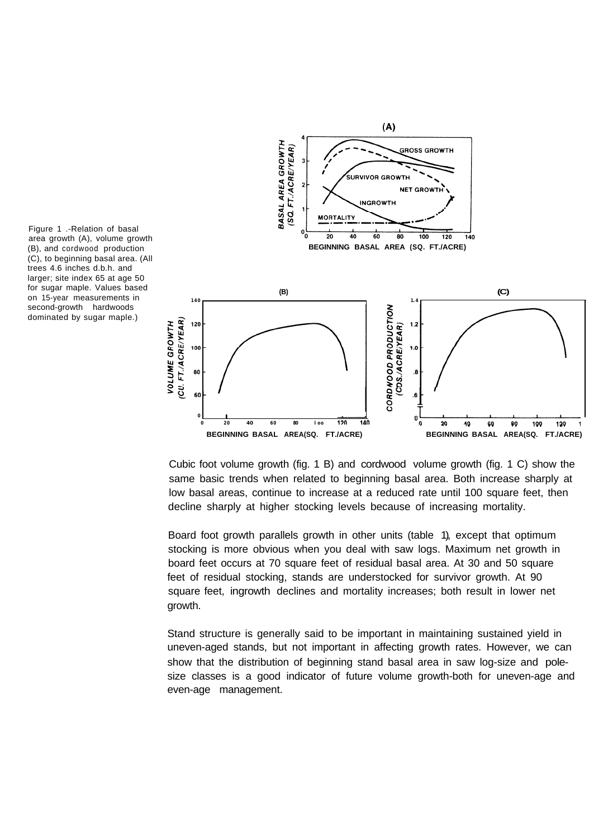



Cubic foot volume growth (fig. 1 B) and cordwood volume growth (fig. 1 C) show the same basic trends when related to beginning basal area. Both increase sharply at low basal areas, continue to increase at a reduced rate until 100 square feet, then decline sharply at higher stocking levels because of increasing mortality.

Board foot growth parallels growth in other units (table 1), except that optimum stocking is more obvious when you deal with saw logs. Maximum net growth in board feet occurs at 70 square feet of residual basal area. At 30 and 50 square feet of residual stocking, stands are understocked for survivor growth. At 90 square feet, ingrowth declines and mortality increases; both result in lower net growth.

Stand structure is generally said to be important in maintaining sustained yield in uneven-aged stands, but not important in affecting growth rates. However, we can show that the distribution of beginning stand basal area in saw log-size and polesize classes is a good indicator of future volume growth-both for uneven-age and even-age management.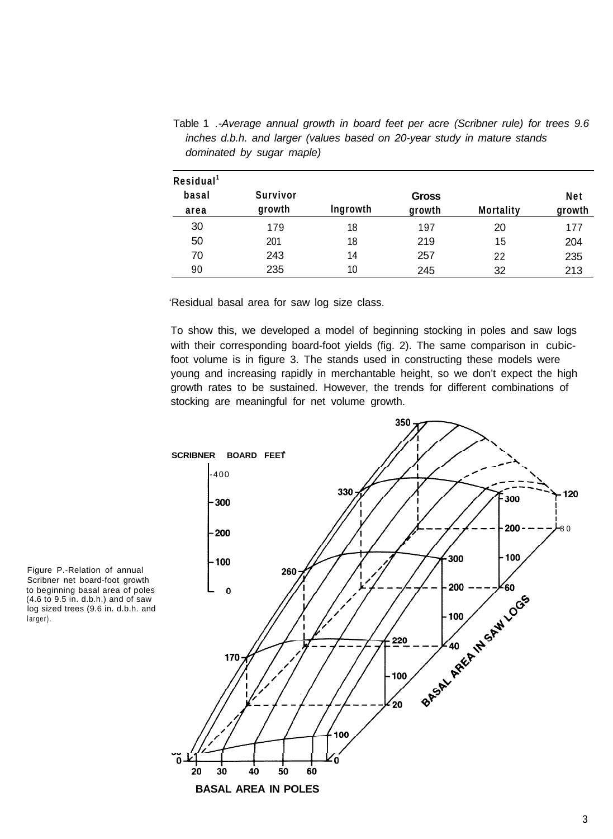**Residual <sup>1</sup> basal area** 30 50 70 90 **Survivor growth** 179 201 243 235 **lngrowth** 18 18 14 10 **Gross growth** 197 219 257 245 **Mortality** 20 15 22 32 **Net growth** 177 204 235 213

Table 1 *.-Average annual growth in board feet per acre (Scribner rule) for trees 9.6 inches d.b.h. and larger (values based on 20-year study in mature stands dominated by sugar maple)*

'Residual basal area for saw log size class.

To show this, we developed a model of beginning stocking in poles and saw logs with their corresponding board-foot yields (fig. 2). The same comparison in cubicfoot volume is in figure 3. The stands used in constructing these models were young and increasing rapidly in merchantable height, so we don't expect the high growth rates to be sustained. However, the trends for different combinations of stocking are meaningful for net volume growth.